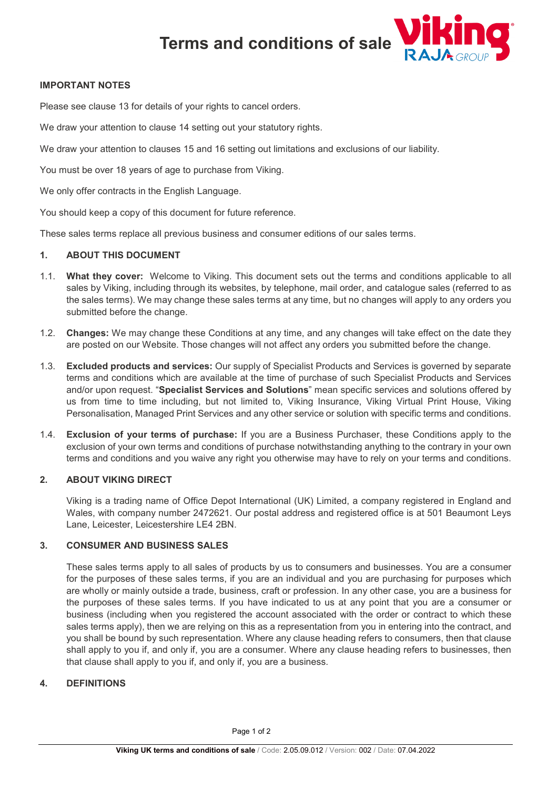

## **IMPORTANT NOTES**

Please see clause 13 for details of your rights to cancel orders.

We draw your attention to clause 14 setting out your statutory rights.

We draw your attention to clauses 15 and 16 setting out limitations and exclusions of our liability.

You must be over 18 years of age to purchase from Viking.

We only offer contracts in the English Language.

You should keep a copy of this document for future reference.

These sales terms replace all previous business and consumer editions of our sales terms.

#### **1. ABOUT THIS DOCUMENT**

- 1.1. **What they cover:** Welcome to Viking. This document sets out the terms and conditions applicable to all sales by Viking, including through its websites, by telephone, mail order, and catalogue sales (referred to as the sales terms). We may change these sales terms at any time, but no changes will apply to any orders you submitted before the change.
- 1.2. **Changes:** We may change these Conditions at any time, and any changes will take effect on the date they are posted on our Website. Those changes will not affect any orders you submitted before the change.
- 1.3. **Excluded products and services:** Our supply of Specialist Products and Services is governed by separate terms and conditions which are available at the time of purchase of such Specialist Products and Services and/or upon request. "**Specialist Services and Solutions**" mean specific services and solutions offered by us from time to time including, but not limited to, Viking Insurance, Viking Virtual Print House, Viking Personalisation, Managed Print Services and any other service or solution with specific terms and conditions.
- 1.4. **Exclusion of your terms of purchase:** If you are a Business Purchaser, these Conditions apply to the exclusion of your own terms and conditions of purchase notwithstanding anything to the contrary in your own terms and conditions and you waive any right you otherwise may have to rely on your terms and conditions.

## **2. ABOUT VIKING DIRECT**

Viking is a trading name of Office Depot International (UK) Limited, a company registered in England and Wales, with company number 2472621. Our postal address and registered office is at 501 Beaumont Leys Lane, Leicester, Leicestershire LE4 2BN.

# **3. CONSUMER AND BUSINESS SALES**

These sales terms apply to all sales of products by us to consumers and businesses. You are a consumer for the purposes of these sales terms, if you are an individual and you are purchasing for purposes which are wholly or mainly outside a trade, business, craft or profession. In any other case, you are a business for the purposes of these sales terms. If you have indicated to us at any point that you are a consumer or business (including when you registered the account associated with the order or contract to which these sales terms apply), then we are relying on this as a representation from you in entering into the contract, and you shall be bound by such representation. Where any clause heading refers to consumers, then that clause shall apply to you if, and only if, you are a consumer. Where any clause heading refers to businesses, then that clause shall apply to you if, and only if, you are a business.

# **4. DEFINITIONS**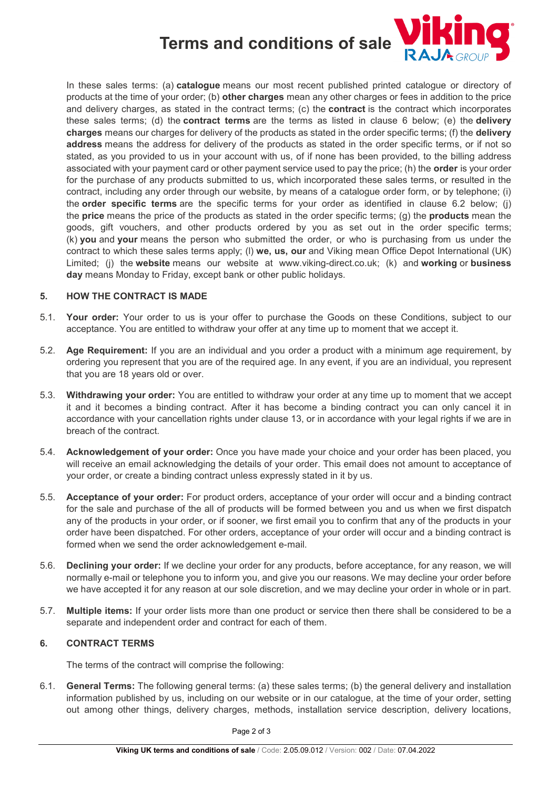

In these sales terms: (a) **catalogue** means our most recent published printed catalogue or directory of products at the time of your order; (b) **other charges** mean any other charges or fees in addition to the price and delivery charges, as stated in the contract terms; (c) the **contract** is the contract which incorporates these sales terms; (d) the **contract terms** are the terms as listed in clause 6 below; (e) the **delivery charges** means our charges for delivery of the products as stated in the order specific terms; (f) the **delivery address** means the address for delivery of the products as stated in the order specific terms, or if not so stated, as you provided to us in your account with us, of if none has been provided, to the billing address associated with your payment card or other payment service used to pay the price; (h) the **order** is your order for the purchase of any products submitted to us, which incorporated these sales terms, or resulted in the contract, including any order through our website, by means of a catalogue order form, or by telephone; (i) the **order specific terms** are the specific terms for your order as identified in clause 6.2 below; (j) the **price** means the price of the products as stated in the order specific terms; (g) the **products** mean the goods, gift vouchers, and other products ordered by you as set out in the order specific terms; (k) **you** and **your** means the person who submitted the order, or who is purchasing from us under the contract to which these sales terms apply; (l) **we, us, our** and Viking mean Office Depot International (UK) Limited; (j) the **website** means our website at www.viking-direct.co.uk; (k) and **working** or **business day** means Monday to Friday, except bank or other public holidays.

#### **5. HOW THE CONTRACT IS MADE**

- 5.1. **Your order:** Your order to us is your offer to purchase the Goods on these Conditions, subject to our acceptance. You are entitled to withdraw your offer at any time up to moment that we accept it.
- 5.2. **Age Requirement:** If you are an individual and you order a product with a minimum age requirement, by ordering you represent that you are of the required age. In any event, if you are an individual, you represent that you are 18 years old or over.
- 5.3. **Withdrawing your order:** You are entitled to withdraw your order at any time up to moment that we accept it and it becomes a binding contract. After it has become a binding contract you can only cancel it in accordance with your cancellation rights under clause 13, or in accordance with your legal rights if we are in breach of the contract.
- 5.4. **Acknowledgement of your order:** Once you have made your choice and your order has been placed, you will receive an email acknowledging the details of your order. This email does not amount to acceptance of your order, or create a binding contract unless expressly stated in it by us.
- 5.5. **Acceptance of your order:** For product orders, acceptance of your order will occur and a binding contract for the sale and purchase of the all of products will be formed between you and us when we first dispatch any of the products in your order, or if sooner, we first email you to confirm that any of the products in your order have been dispatched. For other orders, acceptance of your order will occur and a binding contract is formed when we send the order acknowledgement e-mail.
- 5.6. **Declining your order:** If we decline your order for any products, before acceptance, for any reason, we will normally e-mail or telephone you to inform you, and give you our reasons. We may decline your order before we have accepted it for any reason at our sole discretion, and we may decline your order in whole or in part.
- 5.7. **Multiple items:** If your order lists more than one product or service then there shall be considered to be a separate and independent order and contract for each of them.

#### **6. CONTRACT TERMS**

The terms of the contract will comprise the following:

6.1. **General Terms:** The following general terms: (a) these sales terms; (b) the general delivery and installation information published by us, including on our website or in our catalogue, at the time of your order, setting out among other things, delivery charges, methods, installation service description, delivery locations,

Page 2 of 3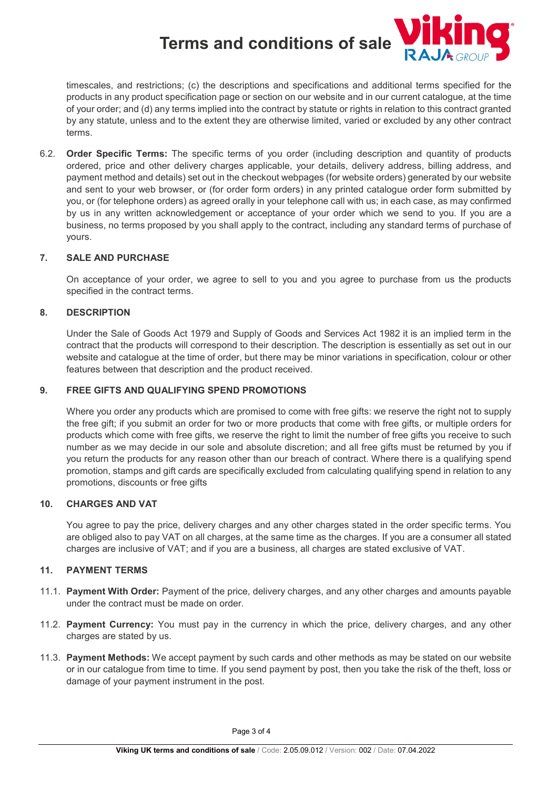

timescales, and restrictions; (c) the descriptions and specifications and additional terms specified for the products in any product specification page or section on our website and in our current catalogue, at the time of your order; and (d) any terms implied into the contract by statute or rights in relation to this contract granted by any statute, unless and to the extent they are otherwise limited, varied or excluded by any other contract terms.

6.2. **Order Specific Terms:** The specific terms of you order (including description and quantity of products ordered, price and other delivery charges applicable, your details, delivery address, billing address, and payment method and details) set out in the checkout webpages (for website orders) generated by our website and sent to your web browser, or (for order form orders) in any printed catalogue order form submitted by you, or (for telephone orders) as agreed orally in your telephone call with us; in each case, as may confirmed by us in any written acknowledgement or acceptance of your order which we send to you. If you are a business, no terms proposed by you shall apply to the contract, including any standard terms of purchase of yours.

## **7. SALE AND PURCHASE**

On acceptance of your order, we agree to sell to you and you agree to purchase from us the products specified in the contract terms.

#### **8. DESCRIPTION**

Under the Sale of Goods Act 1979 and Supply of Goods and Services Act 1982 it is an implied term in the contract that the products will correspond to their description. The description is essentially as set out in our website and catalogue at the time of order, but there may be minor variations in specification, colour or other features between that description and the product received.

#### **9. FREE GIFTS AND QUALIFYING SPEND PROMOTIONS**

Where you order any products which are promised to come with free gifts: we reserve the right not to supply the free gift; if you submit an order for two or more products that come with free gifts, or multiple orders for products which come with free gifts, we reserve the right to limit the number of free gifts you receive to such number as we may decide in our sole and absolute discretion; and all free gifts must be returned by you if you return the products for any reason other than our breach of contract. Where there is a qualifying spend promotion, stamps and gift cards are specifically excluded from calculating qualifying spend in relation to any promotions, discounts or free gifts

#### **10. CHARGES AND VAT**

You agree to pay the price, delivery charges and any other charges stated in the order specific terms. You are obliged also to pay VAT on all charges, at the same time as the charges. If you are a consumer all stated charges are inclusive of VAT; and if you are a business, all charges are stated exclusive of VAT.

# **11. PAYMENT TERMS**

- 11.1. **Payment With Order:** Payment of the price, delivery charges, and any other charges and amounts payable under the contract must be made on order.
- 11.2. **Payment Currency:** You must pay in the currency in which the price, delivery charges, and any other charges are stated by us.
- 11.3. **Payment Methods:** We accept payment by such cards and other methods as may be stated on our website or in our catalogue from time to time. If you send payment by post, then you take the risk of the theft, loss or damage of your payment instrument in the post.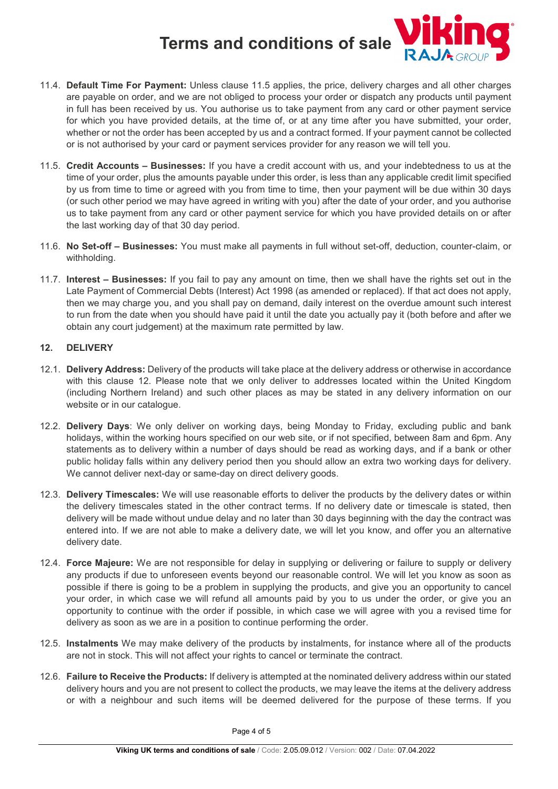

- 11.5. **Credit Accounts Businesses:** If you have a credit account with us, and your indebtedness to us at the time of your order, plus the amounts payable under this order, is less than any applicable credit limit specified by us from time to time or agreed with you from time to time, then your payment will be due within 30 days (or such other period we may have agreed in writing with you) after the date of your order, and you authorise us to take payment from any card or other payment service for which you have provided details on or after the last working day of that 30 day period.
- 11.6. **No Set-off Businesses:** You must make all payments in full without set-off, deduction, counter-claim, or withholding.
- 11.7. **Interest Businesses:** If you fail to pay any amount on time, then we shall have the rights set out in the Late Payment of Commercial Debts (Interest) Act 1998 (as amended or replaced). If that act does not apply, then we may charge you, and you shall pay on demand, daily interest on the overdue amount such interest to run from the date when you should have paid it until the date you actually pay it (both before and after we obtain any court judgement) at the maximum rate permitted by law.

# <span id="page-3-0"></span>**12. DELIVERY**

- 12.1. **Delivery Address:** Delivery of the products will take place at the delivery address or otherwise in accordance with this clause [12.](#page-3-0) Please note that we only deliver to addresses located within the United Kingdom (including Northern Ireland) and such other places as may be stated in any delivery information on our website or in our catalogue.
- 12.2. **Delivery Days**: We only deliver on working days, being Monday to Friday, excluding public and bank holidays, within the working hours specified on our web site, or if not specified, between 8am and 6pm. Any statements as to delivery within a number of days should be read as working days, and if a bank or other public holiday falls within any delivery period then you should allow an extra two working days for delivery. We cannot deliver next-day or same-day on direct delivery goods.
- 12.3. **Delivery Timescales:** We will use reasonable efforts to deliver the products by the delivery dates or within the delivery timescales stated in the other contract terms. If no delivery date or timescale is stated, then delivery will be made without undue delay and no later than 30 days beginning with the day the contract was entered into. If we are not able to make a delivery date, we will let you know, and offer you an alternative delivery date.
- 12.4. **Force Majeure:** We are not responsible for delay in supplying or delivering or failure to supply or delivery any products if due to unforeseen events beyond our reasonable control. We will let you know as soon as possible if there is going to be a problem in supplying the products, and give you an opportunity to cancel your order, in which case we will refund all amounts paid by you to us under the order, or give you an opportunity to continue with the order if possible, in which case we will agree with you a revised time for delivery as soon as we are in a position to continue performing the order.
- 12.5. **Instalments** We may make delivery of the products by instalments, for instance where all of the products are not in stock. This will not affect your rights to cancel or terminate the contract.
- 12.6. **Failure to Receive the Products:** If delivery is attempted at the nominated delivery address within our stated delivery hours and you are not present to collect the products, we may leave the items at the delivery address or with a neighbour and such items will be deemed delivered for the purpose of these terms. If you

Page 4 of 5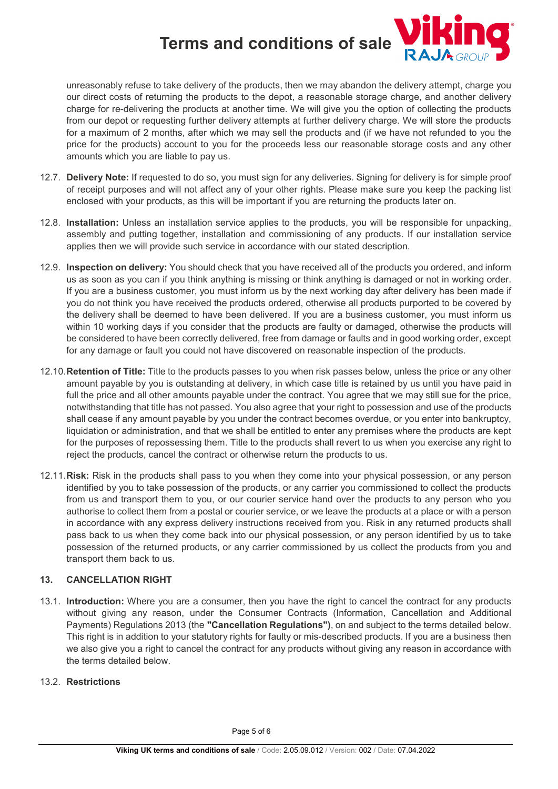

unreasonably refuse to take delivery of the products, then we may abandon the delivery attempt, charge you our direct costs of returning the products to the depot, a reasonable storage charge, and another delivery charge for re-delivering the products at another time. We will give you the option of collecting the products from our depot or requesting further delivery attempts at further delivery charge. We will store the products for a maximum of 2 months, after which we may sell the products and (if we have not refunded to you the price for the products) account to you for the proceeds less our reasonable storage costs and any other amounts which you are liable to pay us.

- 12.7. **Delivery Note:** If requested to do so, you must sign for any deliveries. Signing for delivery is for simple proof of receipt purposes and will not affect any of your other rights. Please make sure you keep the packing list enclosed with your products, as this will be important if you are returning the products later on.
- 12.8. **Installation:** Unless an installation service applies to the products, you will be responsible for unpacking, assembly and putting together, installation and commissioning of any products. If our installation service applies then we will provide such service in accordance with our stated description.
- 12.9. **Inspection on delivery:** You should check that you have received all of the products you ordered, and inform us as soon as you can if you think anything is missing or think anything is damaged or not in working order. If you are a business customer, you must inform us by the next working day after delivery has been made if you do not think you have received the products ordered, otherwise all products purported to be covered by the delivery shall be deemed to have been delivered. If you are a business customer, you must inform us within 10 working days if you consider that the products are faulty or damaged, otherwise the products will be considered to have been correctly delivered, free from damage or faults and in good working order, except for any damage or fault you could not have discovered on reasonable inspection of the products.
- 12.10.**Retention of Title:** Title to the products passes to you when risk passes below, unless the price or any other amount payable by you is outstanding at delivery, in which case title is retained by us until you have paid in full the price and all other amounts payable under the contract. You agree that we may still sue for the price, notwithstanding that title has not passed. You also agree that your right to possession and use of the products shall cease if any amount payable by you under the contract becomes overdue, or you enter into bankruptcy, liquidation or administration, and that we shall be entitled to enter any premises where the products are kept for the purposes of repossessing them. Title to the products shall revert to us when you exercise any right to reject the products, cancel the contract or otherwise return the products to us.
- 12.11.**Risk:** Risk in the products shall pass to you when they come into your physical possession, or any person identified by you to take possession of the products, or any carrier you commissioned to collect the products from us and transport them to you, or our courier service hand over the products to any person who you authorise to collect them from a postal or courier service, or we leave the products at a place or with a person in accordance with any express delivery instructions received from you. Risk in any returned products shall pass back to us when they come back into our physical possession, or any person identified by us to take possession of the returned products, or any carrier commissioned by us collect the products from you and transport them back to us.

# **13. CANCELLATION RIGHT**

13.1. **Introduction:** Where you are a consumer, then you have the right to cancel the contract for any products without giving any reason, under the Consumer Contracts (Information, Cancellation and Additional Payments) Regulations 2013 (the **"Cancellation Regulations")**, on and subject to the terms detailed below. This right is in addition to your statutory rights for faulty or mis-described products. If you are a business then we also give you a right to cancel the contract for any products without giving any reason in accordance with the terms detailed below.

# 13.2. **Restrictions**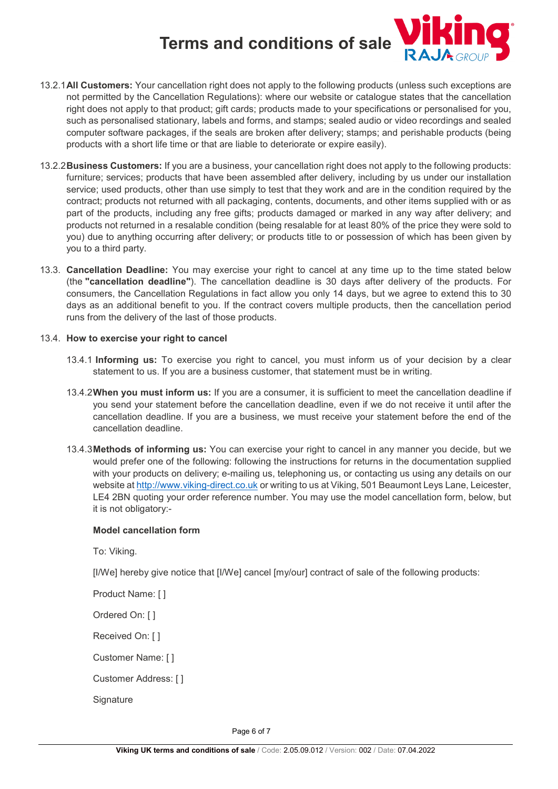

- 13.2.1**All Customers:** Your cancellation right does not apply to the following products (unless such exceptions are not permitted by the Cancellation Regulations): where our website or catalogue states that the cancellation right does not apply to that product; gift cards; products made to your specifications or personalised for you, such as personalised stationary, labels and forms, and stamps; sealed audio or video recordings and sealed computer software packages, if the seals are broken after delivery; stamps; and perishable products (being products with a short life time or that are liable to deteriorate or expire easily).
- 13.2.2**Business Customers:** If you are a business, your cancellation right does not apply to the following products: furniture; services; products that have been assembled after delivery, including by us under our installation service; used products, other than use simply to test that they work and are in the condition required by the contract; products not returned with all packaging, contents, documents, and other items supplied with or as part of the products, including any free gifts; products damaged or marked in any way after delivery; and products not returned in a resalable condition (being resalable for at least 80% of the price they were sold to you) due to anything occurring after delivery; or products title to or possession of which has been given by you to a third party.
- 13.3. **Cancellation Deadline:** You may exercise your right to cancel at any time up to the time stated below (the **"cancellation deadline"**). The cancellation deadline is 30 days after delivery of the products. For consumers, the Cancellation Regulations in fact allow you only 14 days, but we agree to extend this to 30 days as an additional benefit to you. If the contract covers multiple products, then the cancellation period runs from the delivery of the last of those products.

#### 13.4. **How to exercise your right to cancel**

- 13.4.1 **Informing us:** To exercise you right to cancel, you must inform us of your decision by a clear statement to us. If you are a business customer, that statement must be in writing.
- 13.4.2**When you must inform us:** If you are a consumer, it is sufficient to meet the cancellation deadline if you send your statement before the cancellation deadline, even if we do not receive it until after the cancellation deadline. If you are a business, we must receive your statement before the end of the cancellation deadline.
- 13.4.3**Methods of informing us:** You can exercise your right to cancel in any manner you decide, but we would prefer one of the following: following the instructions for returns in the documentation supplied with your products on delivery; e-mailing us, telephoning us, or contacting us using any details on our website at [http://www.viking-direct.co.uk](http://www.viking-direct.co.uk/) or writing to us at Viking, 501 Beaumont Leys Lane, Leicester, LE4 2BN quoting your order reference number. You may use the model cancellation form, below, but it is not obligatory:-

### **Model cancellation form**

To: Viking.

[I/We] hereby give notice that [I/We] cancel [my/our] contract of sale of the following products:

Product Name: [ ]

Ordered On: [ ]

Received On: [ ]

Customer Name: [ ]

Customer Address: [ ]

**Signature** 

Page 6 of 7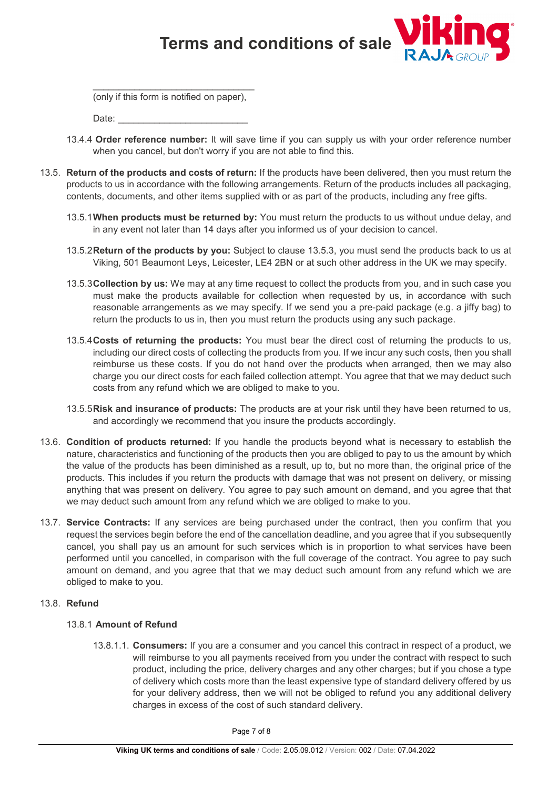

\_\_\_\_\_\_\_\_\_\_\_\_\_\_\_\_\_\_\_\_\_\_\_\_\_\_\_\_\_\_\_ (only if this form is notified on paper),

Date:

- 13.4.4 **Order reference number:** It will save time if you can supply us with your order reference number when you cancel, but don't worry if you are not able to find this.
- 13.5. **Return of the products and costs of return:** If the products have been delivered, then you must return the products to us in accordance with the following arrangements. Return of the products includes all packaging, contents, documents, and other items supplied with or as part of the products, including any free gifts.
	- 13.5.1**When products must be returned by:** You must return the products to us without undue delay, and in any event not later than 14 days after you informed us of your decision to cancel.
	- 13.5.2**Return of the products by you:** Subject to clause 13.5.3, you must send the products back to us at Viking, 501 Beaumont Leys, Leicester, LE4 2BN or at such other address in the UK we may specify.
	- 13.5.3**Collection by us:** We may at any time request to collect the products from you, and in such case you must make the products available for collection when requested by us, in accordance with such reasonable arrangements as we may specify. If we send you a pre-paid package (e.g. a jiffy bag) to return the products to us in, then you must return the products using any such package.
	- 13.5.4**Costs of returning the products:** You must bear the direct cost of returning the products to us, including our direct costs of collecting the products from you. If we incur any such costs, then you shall reimburse us these costs. If you do not hand over the products when arranged, then we may also charge you our direct costs for each failed collection attempt. You agree that that we may deduct such costs from any refund which we are obliged to make to you.
	- 13.5.5**Risk and insurance of products:** The products are at your risk until they have been returned to us, and accordingly we recommend that you insure the products accordingly.
- 13.6. **Condition of products returned:** If you handle the products beyond what is necessary to establish the nature, characteristics and functioning of the products then you are obliged to pay to us the amount by which the value of the products has been diminished as a result, up to, but no more than, the original price of the products. This includes if you return the products with damage that was not present on delivery, or missing anything that was present on delivery. You agree to pay such amount on demand, and you agree that that we may deduct such amount from any refund which we are obliged to make to you.
- 13.7. **Service Contracts:** If any services are being purchased under the contract, then you confirm that you request the services begin before the end of the cancellation deadline, and you agree that if you subsequently cancel, you shall pay us an amount for such services which is in proportion to what services have been performed until you cancelled, in comparison with the full coverage of the contract. You agree to pay such amount on demand, and you agree that that we may deduct such amount from any refund which we are obliged to make to you.

#### 13.8. **Refund**

#### 13.8.1 **Amount of Refund**

13.8.1.1. **Consumers:** If you are a consumer and you cancel this contract in respect of a product, we will reimburse to you all payments received from you under the contract with respect to such product, including the price, delivery charges and any other charges; but if you chose a type of delivery which costs more than the least expensive type of standard delivery offered by us for your delivery address, then we will not be obliged to refund you any additional delivery charges in excess of the cost of such standard delivery.

Page 7 of 8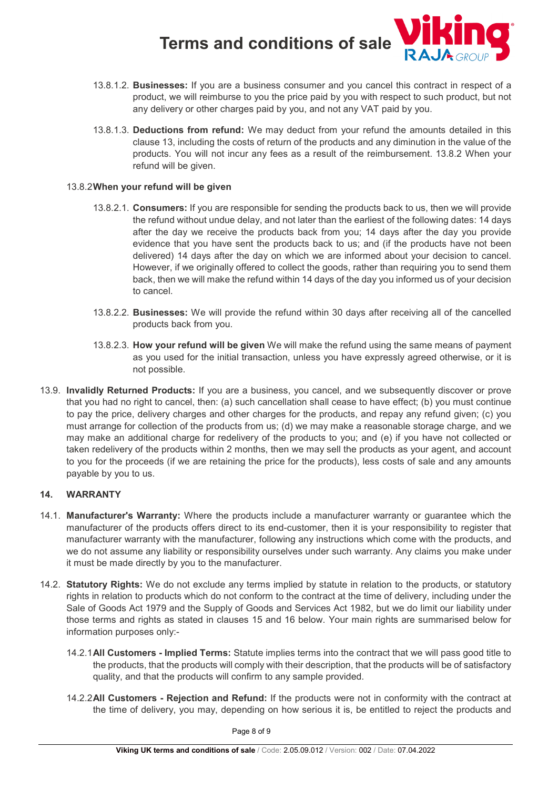

- 13.8.1.2. **Businesses:** If you are a business consumer and you cancel this contract in respect of a product, we will reimburse to you the price paid by you with respect to such product, but not any delivery or other charges paid by you, and not any VAT paid by you.
- 13.8.1.3. **Deductions from refund:** We may deduct from your refund the amounts detailed in this clause 13, including the costs of return of the products and any diminution in the value of the products. You will not incur any fees as a result of the reimbursement. 13.8.2 When your refund will be given.

#### 13.8.2**When your refund will be given**

- 13.8.2.1. **Consumers:** If you are responsible for sending the products back to us, then we will provide the refund without undue delay, and not later than the earliest of the following dates: 14 days after the day we receive the products back from you; 14 days after the day you provide evidence that you have sent the products back to us; and (if the products have not been delivered) 14 days after the day on which we are informed about your decision to cancel. However, if we originally offered to collect the goods, rather than requiring you to send them back, then we will make the refund within 14 days of the day you informed us of your decision to cancel.
- 13.8.2.2. **Businesses:** We will provide the refund within 30 days after receiving all of the cancelled products back from you.
- 13.8.2.3. **How your refund will be given** We will make the refund using the same means of payment as you used for the initial transaction, unless you have expressly agreed otherwise, or it is not possible.
- 13.9. **Invalidly Returned Products:** If you are a business, you cancel, and we subsequently discover or prove that you had no right to cancel, then: (a) such cancellation shall cease to have effect; (b) you must continue to pay the price, delivery charges and other charges for the products, and repay any refund given; (c) you must arrange for collection of the products from us; (d) we may make a reasonable storage charge, and we may make an additional charge for redelivery of the products to you; and (e) if you have not collected or taken redelivery of the products within 2 months, then we may sell the products as your agent, and account to you for the proceeds (if we are retaining the price for the products), less costs of sale and any amounts payable by you to us.

#### **14. WARRANTY**

- 14.1. **Manufacturer's Warranty:** Where the products include a manufacturer warranty or guarantee which the manufacturer of the products offers direct to its end-customer, then it is your responsibility to register that manufacturer warranty with the manufacturer, following any instructions which come with the products, and we do not assume any liability or responsibility ourselves under such warranty. Any claims you make under it must be made directly by you to the manufacturer.
- 14.2. **Statutory Rights:** We do not exclude any terms implied by statute in relation to the products, or statutory rights in relation to products which do not conform to the contract at the time of delivery, including under the Sale of Goods Act 1979 and the Supply of Goods and Services Act 1982, but we do limit our liability under those terms and rights as stated in clauses 15 and 16 below. Your main rights are summarised below for information purposes only:-
	- 14.2.1**All Customers Implied Terms:** Statute implies terms into the contract that we will pass good title to the products, that the products will comply with their description, that the products will be of satisfactory quality, and that the products will confirm to any sample provided.
	- 14.2.2**All Customers Rejection and Refund:** If the products were not in conformity with the contract at the time of delivery, you may, depending on how serious it is, be entitled to reject the products and

Page 8 of 9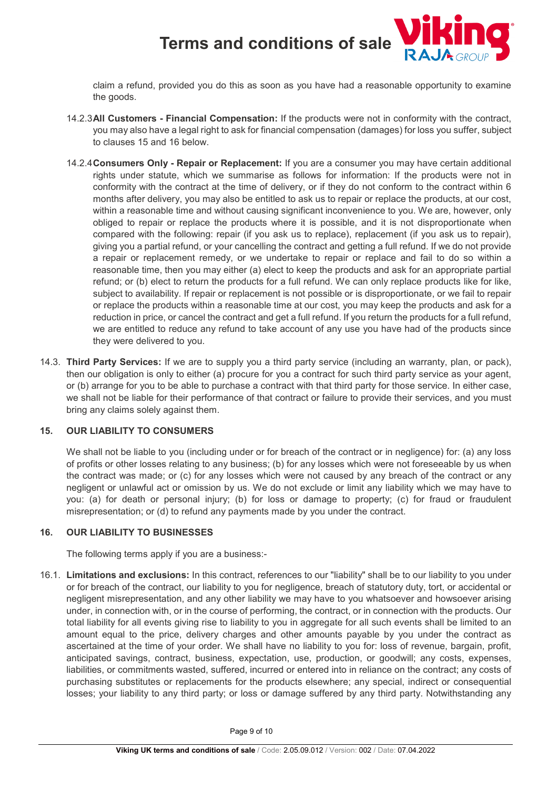

claim a refund, provided you do this as soon as you have had a reasonable opportunity to examine the goods.

- 14.2.3**All Customers Financial Compensation:** If the products were not in conformity with the contract, you may also have a legal right to ask for financial compensation (damages) for loss you suffer, subject to clauses 15 and 16 below.
- 14.2.4**Consumers Only Repair or Replacement:** If you are a consumer you may have certain additional rights under statute, which we summarise as follows for information: If the products were not in conformity with the contract at the time of delivery, or if they do not conform to the contract within 6 months after delivery, you may also be entitled to ask us to repair or replace the products, at our cost, within a reasonable time and without causing significant inconvenience to you. We are, however, only obliged to repair or replace the products where it is possible, and it is not disproportionate when compared with the following: repair (if you ask us to replace), replacement (if you ask us to repair), giving you a partial refund, or your cancelling the contract and getting a full refund. If we do not provide a repair or replacement remedy, or we undertake to repair or replace and fail to do so within a reasonable time, then you may either (a) elect to keep the products and ask for an appropriate partial refund; or (b) elect to return the products for a full refund. We can only replace products like for like, subject to availability. If repair or replacement is not possible or is disproportionate, or we fail to repair or replace the products within a reasonable time at our cost, you may keep the products and ask for a reduction in price, or cancel the contract and get a full refund. If you return the products for a full refund, we are entitled to reduce any refund to take account of any use you have had of the products since they were delivered to you.
- 14.3. **Third Party Services:** If we are to supply you a third party service (including an warranty, plan, or pack), then our obligation is only to either (a) procure for you a contract for such third party service as your agent, or (b) arrange for you to be able to purchase a contract with that third party for those service. In either case, we shall not be liable for their performance of that contract or failure to provide their services, and you must bring any claims solely against them.

#### **15. OUR LIABILITY TO CONSUMERS**

We shall not be liable to you (including under or for breach of the contract or in negligence) for: (a) any loss of profits or other losses relating to any business; (b) for any losses which were not foreseeable by us when the contract was made; or (c) for any losses which were not caused by any breach of the contract or any negligent or unlawful act or omission by us. We do not exclude or limit any liability which we may have to you: (a) for death or personal injury; (b) for loss or damage to property; (c) for fraud or fraudulent misrepresentation; or (d) to refund any payments made by you under the contract.

#### **16. OUR LIABILITY TO BUSINESSES**

The following terms apply if you are a business:-

16.1. **Limitations and exclusions:** In this contract, references to our "liability" shall be to our liability to you under or for breach of the contract, our liability to you for negligence, breach of statutory duty, tort, or accidental or negligent misrepresentation, and any other liability we may have to you whatsoever and howsoever arising under, in connection with, or in the course of performing, the contract, or in connection with the products. Our total liability for all events giving rise to liability to you in aggregate for all such events shall be limited to an amount equal to the price, delivery charges and other amounts payable by you under the contract as ascertained at the time of your order. We shall have no liability to you for: loss of revenue, bargain, profit, anticipated savings, contract, business, expectation, use, production, or goodwill; any costs, expenses, liabilities, or commitments wasted, suffered, incurred or entered into in reliance on the contract; any costs of purchasing substitutes or replacements for the products elsewhere; any special, indirect or consequential losses; your liability to any third party; or loss or damage suffered by any third party. Notwithstanding any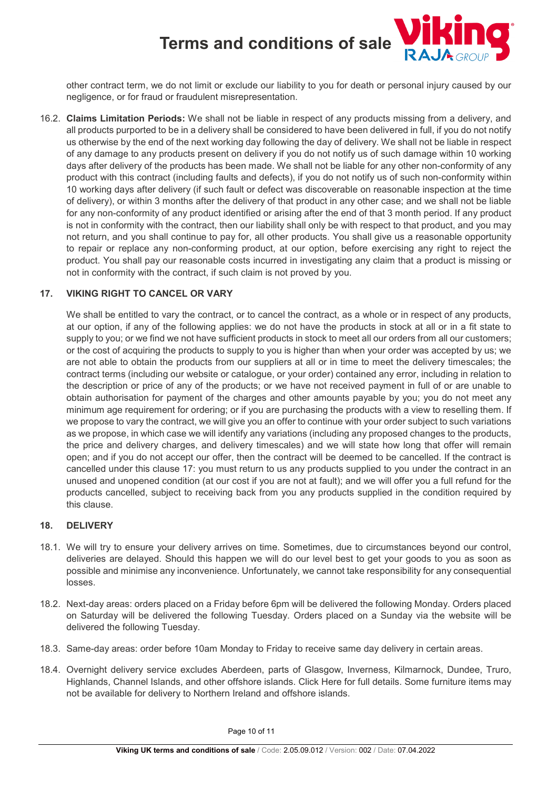

other contract term, we do not limit or exclude our liability to you for death or personal injury caused by our negligence, or for fraud or fraudulent misrepresentation.

16.2. **Claims Limitation Periods:** We shall not be liable in respect of any products missing from a delivery, and all products purported to be in a delivery shall be considered to have been delivered in full, if you do not notify us otherwise by the end of the next working day following the day of delivery. We shall not be liable in respect of any damage to any products present on delivery if you do not notify us of such damage within 10 working days after delivery of the products has been made. We shall not be liable for any other non-conformity of any product with this contract (including faults and defects), if you do not notify us of such non-conformity within 10 working days after delivery (if such fault or defect was discoverable on reasonable inspection at the time of delivery), or within 3 months after the delivery of that product in any other case; and we shall not be liable for any non-conformity of any product identified or arising after the end of that 3 month period. If any product is not in conformity with the contract, then our liability shall only be with respect to that product, and you may not return, and you shall continue to pay for, all other products. You shall give us a reasonable opportunity to repair or replace any non-conforming product, at our option, before exercising any right to reject the product. You shall pay our reasonable costs incurred in investigating any claim that a product is missing or not in conformity with the contract, if such claim is not proved by you.

## **17. VIKING RIGHT TO CANCEL OR VARY**

We shall be entitled to vary the contract, or to cancel the contract, as a whole or in respect of any products, at our option, if any of the following applies: we do not have the products in stock at all or in a fit state to supply to you; or we find we not have sufficient products in stock to meet all our orders from all our customers; or the cost of acquiring the products to supply to you is higher than when your order was accepted by us; we are not able to obtain the products from our suppliers at all or in time to meet the delivery timescales; the contract terms (including our website or catalogue, or your order) contained any error, including in relation to the description or price of any of the products; or we have not received payment in full of or are unable to obtain authorisation for payment of the charges and other amounts payable by you; you do not meet any minimum age requirement for ordering; or if you are purchasing the products with a view to reselling them. If we propose to vary the contract, we will give you an offer to continue with your order subject to such variations as we propose, in which case we will identify any variations (including any proposed changes to the products, the price and delivery charges, and delivery timescales) and we will state how long that offer will remain open; and if you do not accept our offer, then the contract will be deemed to be cancelled. If the contract is cancelled under this clause 17: you must return to us any products supplied to you under the contract in an unused and unopened condition (at our cost if you are not at fault); and we will offer you a full refund for the products cancelled, subject to receiving back from you any products supplied in the condition required by this clause.

#### **18. DELIVERY**

- 18.1. We will try to ensure your delivery arrives on time. Sometimes, due to circumstances beyond our control, deliveries are delayed. Should this happen we will do our level best to get your goods to you as soon as possible and minimise any inconvenience. Unfortunately, we cannot take responsibility for any consequential losses.
- 18.2. Next-day areas: orders placed on a Friday before 6pm will be delivered the following Monday. Orders placed on Saturday will be delivered the following Tuesday. Orders placed on a Sunday via the website will be delivered the following Tuesday.
- 18.3. Same-day areas: order before 10am Monday to Friday to receive same day delivery in certain areas.
- 18.4. Overnight delivery service excludes Aberdeen, parts of Glasgow, Inverness, Kilmarnock, Dundee, Truro, Highlands, Channel Islands, and other offshore islands. Click Here for full details. Some furniture items may not be available for delivery to Northern Ireland and offshore islands.

Page 10 of 11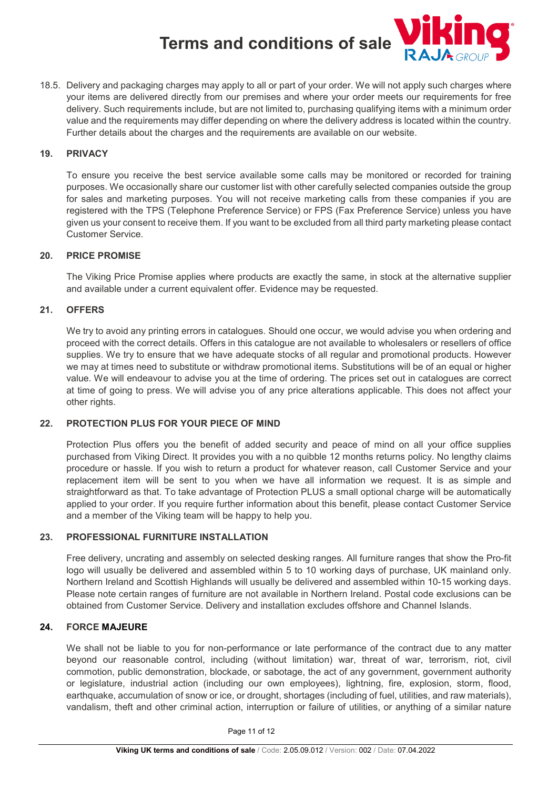

18.5. Delivery and packaging charges may apply to all or part of your order. We will not apply such charges where your items are delivered directly from our premises and where your order meets our requirements for free delivery. Such requirements include, but are not limited to, purchasing qualifying items with a minimum order value and the requirements may differ depending on where the delivery address is located within the country. Further details about the charges and the requirements are available on our website.

#### **19. PRIVACY**

To ensure you receive the best service available some calls may be monitored or recorded for training purposes. We occasionally share our customer list with other carefully selected companies outside the group for sales and marketing purposes. You will not receive marketing calls from these companies if you are registered with the TPS (Telephone Preference Service) or FPS (Fax Preference Service) unless you have given us your consent to receive them. If you want to be excluded from all third party marketing please contact Customer Service.

## **20. PRICE PROMISE**

The Viking Price Promise applies where products are exactly the same, in stock at the alternative supplier and available under a current equivalent offer. Evidence may be requested.

## **21. OFFERS**

We try to avoid any printing errors in catalogues. Should one occur, we would advise you when ordering and proceed with the correct details. Offers in this catalogue are not available to wholesalers or resellers of office supplies. We try to ensure that we have adequate stocks of all regular and promotional products. However we may at times need to substitute or withdraw promotional items. Substitutions will be of an equal or higher value. We will endeavour to advise you at the time of ordering. The prices set out in catalogues are correct at time of going to press. We will advise you of any price alterations applicable. This does not affect your other rights.

#### **22. PROTECTION PLUS FOR YOUR PIECE OF MIND**

Protection Plus offers you the benefit of added security and peace of mind on all your office supplies purchased from Viking Direct. It provides you with a no quibble 12 months returns policy. No lengthy claims procedure or hassle. If you wish to return a product for whatever reason, call Customer Service and your replacement item will be sent to you when we have all information we request. It is as simple and straightforward as that. To take advantage of Protection PLUS a small optional charge will be automatically applied to your order. If you require further information about this benefit, please contact Customer Service and a member of the Viking team will be happy to help you.

#### **23. PROFESSIONAL FURNITURE INSTALLATION**

Free delivery, uncrating and assembly on selected desking ranges. All furniture ranges that show the Pro-fit logo will usually be delivered and assembled within 5 to 10 working days of purchase, UK mainland only. Northern Ireland and Scottish Highlands will usually be delivered and assembled within 10-15 working days. Please note certain ranges of furniture are not available in Northern Ireland. Postal code exclusions can be obtained from Customer Service. Delivery and installation excludes offshore and Channel Islands.

#### **24. FORCE MAJEURE**

We shall not be liable to you for non-performance or late performance of the contract due to any matter beyond our reasonable control, including (without limitation) war, threat of war, terrorism, riot, civil commotion, public demonstration, blockade, or sabotage, the act of any government, government authority or legislature, industrial action (including our own employees), lightning, fire, explosion, storm, flood, earthquake, accumulation of snow or ice, or drought, shortages (including of fuel, utilities, and raw materials), vandalism, theft and other criminal action, interruption or failure of utilities, or anything of a similar nature

Page 11 of 12